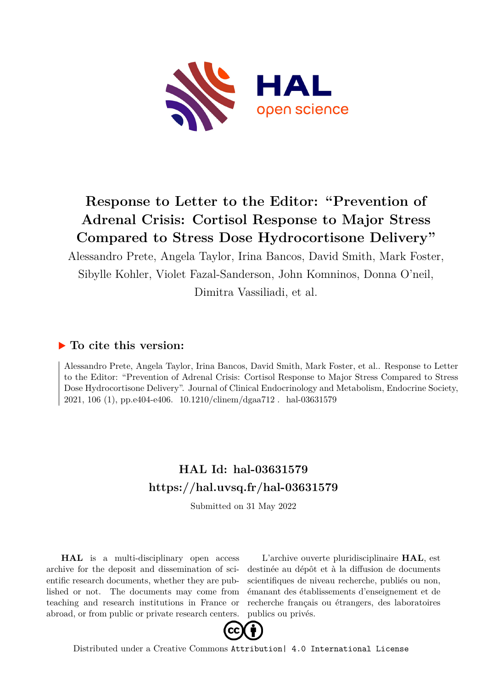

## **Response to Letter to the Editor: "Prevention of Adrenal Crisis: Cortisol Response to Major Stress Compared to Stress Dose Hydrocortisone Delivery"**

Alessandro Prete, Angela Taylor, Irina Bancos, David Smith, Mark Foster, Sibylle Kohler, Violet Fazal-Sanderson, John Komninos, Donna O'neil, Dimitra Vassiliadi, et al.

### **To cite this version:**

Alessandro Prete, Angela Taylor, Irina Bancos, David Smith, Mark Foster, et al.. Response to Letter to the Editor: "Prevention of Adrenal Crisis: Cortisol Response to Major Stress Compared to Stress Dose Hydrocortisone Delivery". Journal of Clinical Endocrinology and Metabolism, Endocrine Society, 2021, 106 (1), pp.e404-e406.  $10.1210$ /clinem/dgaa712. hal-03631579

### **HAL Id: hal-03631579 <https://hal.uvsq.fr/hal-03631579>**

Submitted on 31 May 2022

**HAL** is a multi-disciplinary open access archive for the deposit and dissemination of scientific research documents, whether they are published or not. The documents may come from teaching and research institutions in France or abroad, or from public or private research centers.

L'archive ouverte pluridisciplinaire **HAL**, est destinée au dépôt et à la diffusion de documents scientifiques de niveau recherche, publiés ou non, émanant des établissements d'enseignement et de recherche français ou étrangers, des laboratoires publics ou privés.



Distributed under a Creative Commons [Attribution| 4.0 International License](http://creativecommons.org/licenses/by/4.0/)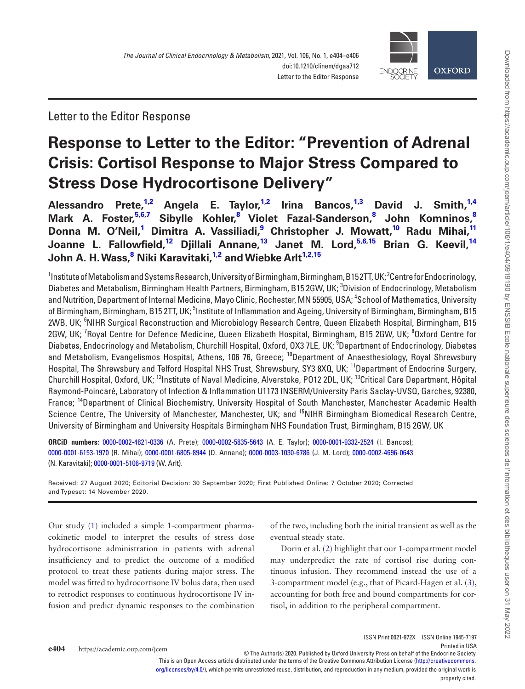

Letter to the Editor Response

# **Response to Letter to the Editor: "Prevention of Adrenal Crisis: Cortisol Response to Major Stress Compared to Stress Dose Hydrocortisone Delivery"**

**[Alessandro Prete,](http://orcid.org/0000-0002-4821-0336)1,2 [Angela E. Taylor](http://orcid.org/0000-0002-5835-5643),1,2 [Irina Bancos](http://orcid.org/0000-0001-9332-2524),1,3 David J. Smith,1,4 Mark A. Foster,5,6,7 Sibylle Kohler,8 Violet Fazal-Sanderson,8 John Komninos,8 Donna M. O'Neil,1 Dimitra A. Vassiliadi,9 Christopher J. Mowatt,10 [Radu Mihai](http://orcid.org/0000-0001-6153-1970),11 Joanne L. Fallowfield,12 [Djillali Annane,](http://orcid.org/0000-0001-6805-8944)13 [Janet M. Lord](http://orcid.org/0000-0003-1030-6786),5,6,15 Brian G. Keevil,14 John A. H. Wass,8  [Niki Karavitaki](http://orcid.org/0000-0002-4696-0643),1,2 and [Wiebke Arlt](http://orcid.org/0000-0001-5106-9719)1,2,15**

 $^{\rm 1}$ Institute of Metabolism and Systems Research, University of Birmingham, Birmingham, B152TT, UK; $^{\rm 2}$ Centre for Endocrinology, Diabetes and Metabolism, Birmingham Health Partners, Birmingham, B15 2GW, UK; <sup>3</sup>Division of Endocrinology, Metabolism and Nutrition, Department of Internal Medicine, Mayo Clinic, Rochester, MN 55905, USA; <sup>4</sup>School of Mathematics, University of Birmingham, Birmingham, B15 2TT, UK; <sup>5</sup>Institute of Inflammation and Ageing, University of Birmingham, Birmingham, B15 2WB, UK; <sup>6</sup>NIHR Surgical Reconstruction and Microbiology Research Centre, Queen Elizabeth Hospital, Birmingham, B15 2GW, UK; <sup>7</sup>Royal Centre for Defence Medicine, Queen Elizabeth Hospital, Birmingham, B15 2GW, UK; <sup>8</sup>Oxford Centre for Diabetes, Endocrinology and Metabolism, Churchill Hospital, Oxford, OX3 7LE, UK; <sup>9</sup>Department of Endocrinology, Diabetes and Metabolism, Evangelismos Hospital, Athens, 106 76, Greece; <sup>10</sup>Department of Anaesthesiology, Royal Shrewsbury Hospital, The Shrewsbury and Telford Hospital NHS Trust, Shrewsbury, SY3 8XQ, UK; <sup>11</sup>Department of Endocrine Surgery, Churchill Hospital, Oxford, UK; <sup>12</sup>Institute of Naval Medicine, Alverstoke, PO12 2DL, UK; <sup>13</sup>Critical Care Department, Hôpital Raymond-Poincaré, Laboratory of Infection & Inflammation U1173 INSERM/University Paris Saclay-UVSQ, Garches, 92380, France; 14Department of Clinical Biochemistry, University Hospital of South Manchester, Manchester Academic Health Science Centre, The University of Manchester, Manchester, UK; and <sup>15</sup>NIHR Birmingham Biomedical Research Centre, University of Birmingham and University Hospitals Birmingham NHS Foundation Trust, Birmingham, B15 2GW, UK

**ORCiD numbers:** [0000-0002-4821-0336](http://orcid.org/0000-0002-4821-0336) (A. Prete); [0000-0002-5835-5643](http://orcid.org/0000-0002-5835-5643) (A. E. Taylor); [0000-0001-9332-2524](http://orcid.org/0000-0001-9332-2524) (I. Bancos); [0000-0001-6153-1970](http://orcid.org/0000-0001-6153-1970) (R. Mihai); [0000-0001-6805-8944](http://orcid.org/0000-0001-6805-8944) (D. Annane); [0000-0003-1030-6786](http://orcid.org/0000-0003-1030-6786) (J. M. Lord); [0000-0002-4696-0643](http://orcid.org/0000-0002-4696-0643) (N. Karavitaki); [0000-0001-5106-9719](http://orcid.org/0000-0001-5106-9719) (W. Arlt).

Received: 27 August 2020; Editorial Decision: 30 September 2020; First Published Online: 7 October 2020; Corrected and Typeset: 14 November 2020.

Our study (1) included a simple 1-compartment pharmacokinetic model to interpret the results of stress dose hydrocortisone administration in patients with adrenal insufficiency and to predict the outcome of a modified protocol to treat these patients during major stress. The model was fitted to hydrocortisone IV bolus data, then used to retrodict responses to continuous hydrocortisone IV infusion and predict dynamic responses to the combination of the two, including both the initial transient as well as the eventual steady state.

Dorin et al. (2) highlight that our 1-compartment model may underpredict the rate of cortisol rise during continuous infusion. They recommend instead the use of a 3-compartment model (e.g., that of Picard-Hagen et al. (3), accounting for both free and bound compartments for cortisol, in addition to the peripheral compartment.

This is an Open Access article distributed under the terms of the Creative Commons Attribution License ([http://creativecommons.](http://creativecommons.org/licenses/by/4.0/)

[org/licenses/by/4.0/\)](http://creativecommons.org/licenses/by/4.0/), which permits unrestricted reuse, distribution, and reproduction in any medium, provided the original work is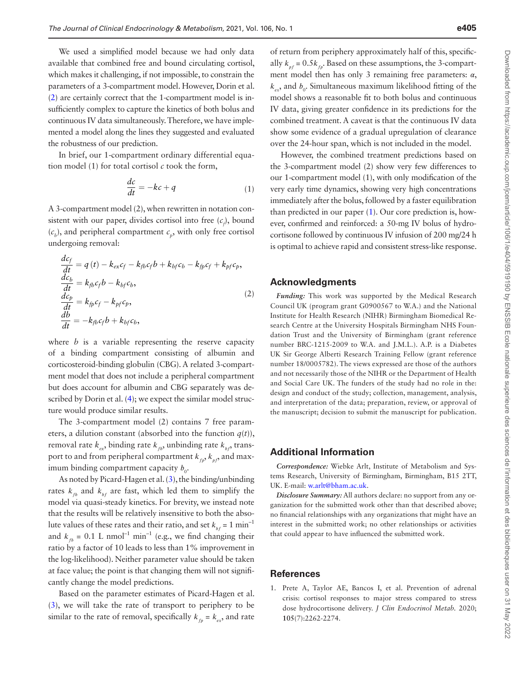We used a simplified model because we had only data available that combined free and bound circulating cortisol, which makes it challenging, if not impossible, to constrain the parameters of a 3-compartment model. However, Dorin et al. (2) are certainly correct that the 1-compartment model is insufficiently complex to capture the kinetics of both bolus and continuous IV data simultaneously. Therefore, we have implemented a model along the lines they suggested and evaluated the robustness of our prediction.

In brief, our 1-compartment ordinary differential equation model (1) for total cortisol  $c$  took the form,

$$
\frac{dc}{dt} = -kc + q \tag{1}
$$

A 3-compartment model (2), when rewritten in notation consistent with our paper, divides cortisol into free  $(c_f)$ , bound  $(c_b)$ , and peripheral compartment  $c_p$ , with only free cortisol undergoing removal:

$$
\frac{dc_f}{dt} = q(t) - k_{ex}c_f - k_{fb}c_f b + k_{bf}c_b - k_{fp}c_f + k_{pf}c_p, \n\frac{dc_b}{dt} = k_{fb}c_f b - k_{bf}c_b, \n\frac{dc_p}{dt} = k_{fp}c_f - k_{pf}c_p, \n\frac{db}{dt} = -k_{fb}c_f b + k_{bf}c_b,
$$
\n(2)

where *b* is a variable representing the reserve capacity of a binding compartment consisting of albumin and corticosteroid-binding globulin (CBG). A related 3-compartment model that does not include a peripheral compartment but does account for albumin and CBG separately was described by Dorin et al. (4); we expect the similar model structure would produce similar results.

The 3-compartment model (2) contains 7 free parameters, a dilution constant (absorbed into the function  $q(t)$ ), removal rate  $k_{ex}$ , binding rate  $k_{tb}$ , unbinding rate  $k_{bt}$ , transport to and from peripheral compartment  $k_{\scriptscriptstyle{fp}}^{}, k_{\scriptscriptstyle{pf}^{}},$  and maximum binding compartment capacity  $b_0$ .

As noted by Picard-Hagen et al. (3), the binding/unbinding rates  $k_{tb}$  and  $k_{bt}$  are fast, which led them to simplify the model via quasi-steady kinetics. For brevity, we instead note that the results will be relatively insensitive to both the absolute values of these rates and their ratio, and set  $k_{bf} = 1 \text{ min}^{-1}$ and  $k_{th} = 0.1$  L nmol<sup>-1</sup> min<sup>-1</sup> (e.g., we find changing their ratio by a factor of 10 leads to less than 1% improvement in the log-likelihood). Neither parameter value should be taken at face value; the point is that changing them will not significantly change the model predictions.

Based on the parameter estimates of Picard-Hagen et al. (3), we will take the rate of transport to periphery to be similar to the rate of removal, specifically  $k_{f_p} = k_{ex}$ , and rate of return from periphery approximately half of this, specifically  $k_{pf} = 0.5k_{fp}$ . Based on these assumptions, the 3-compartment model then has only 3 remaining free parameters:  $\alpha$ ,  $k_{ex}$ , and  $b_{0}$ . Simultaneous maximum likelihood fitting of the model shows a reasonable fit to both bolus and continuous IV data, giving greater confidence in its predictions for the combined treatment. A caveat is that the continuous IV data show some evidence of a gradual upregulation of clearance over the 24-hour span, which is not included in the model.

However, the combined treatment predictions based on the 3-compartment model (2) show very few differences to our 1-compartment model (1), with only modification of the very early time dynamics, showing very high concentrations immediately after the bolus, followed by a faster equilibration than predicted in our paper (1). Our core prediction is, however, confirmed and reinforced: a 50-mg IV bolus of hydrocortisone followed by continuous IV infusion of 200 mg/24 h is optimal to achieve rapid and consistent stress-like response.

### **Acknowledgments**

*Funding:* This work was supported by the Medical Research Council UK (program grant G0900567 to W.A.) and the National Institute for Health Research (NIHR) Birmingham Biomedical Research Centre at the University Hospitals Birmingham NHS Foundation Trust and the University of Birmingham (grant reference number BRC-1215-2009 to W.A. and J.M.L.). A.P. is a Diabetes UK Sir George Alberti Research Training Fellow (grant reference number 18/0005782). The views expressed are those of the authors and not necessarily those of the NIHR or the Department of Health and Social Care UK. The funders of the study had no role in the: design and conduct of the study; collection, management, analysis, and interpretation of the data; preparation, review, or approval of the manuscript; decision to submit the manuscript for publication.

#### **Additional Information**

*Correspondence:* Wiebke Arlt, Institute of Metabolism and Systems Research, University of Birmingham, Birmingham, B15 2TT, UK. E-mail: [w.arlt@bham.ac.uk](mailto:w.arlt@bham.ac.uk?subject=).

*Disclosure Summary:* All authors declare: no support from any organization for the submitted work other than that described above; no financial relationships with any organizations that might have an interest in the submitted work; no other relationships or activities that could appear to have influenced the submitted work.

#### **References**

1. Prete A, Taylor AE, Bancos I, et al. Prevention of adrenal crisis: cortisol responses to major stress compared to stress dose hydrocortisone delivery. *J Clin Endocrinol Metab.* 2020; **105**(7):2262-2274.